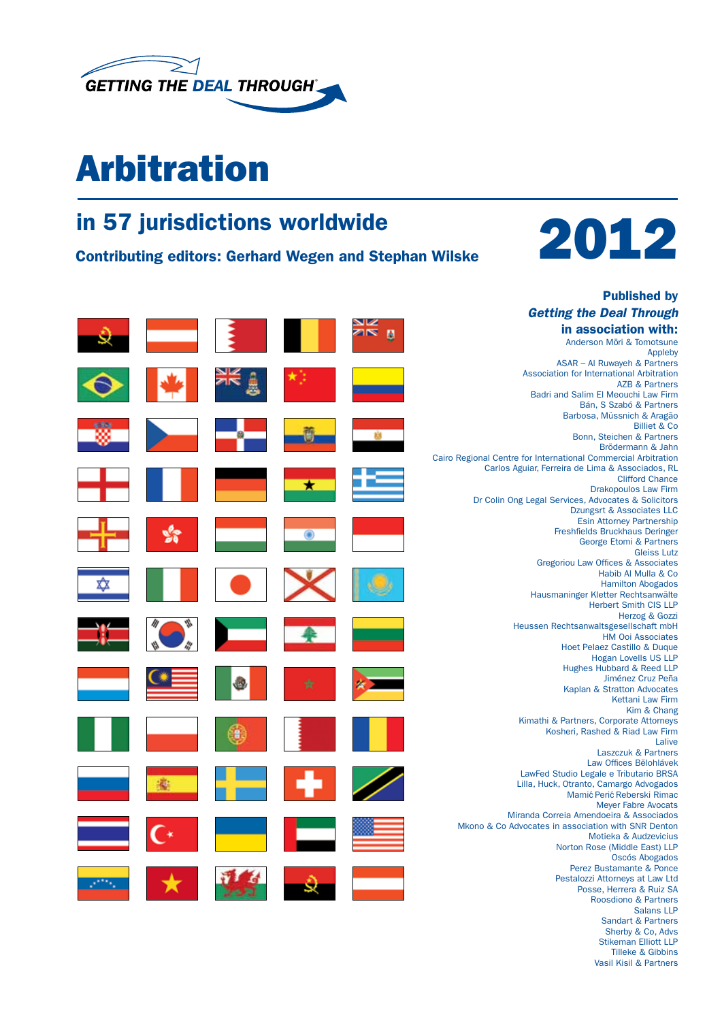

## Arbitration



Published by



Stikeman Elliott LLP Tilleke & Gibbins Vasil Kisil & Partners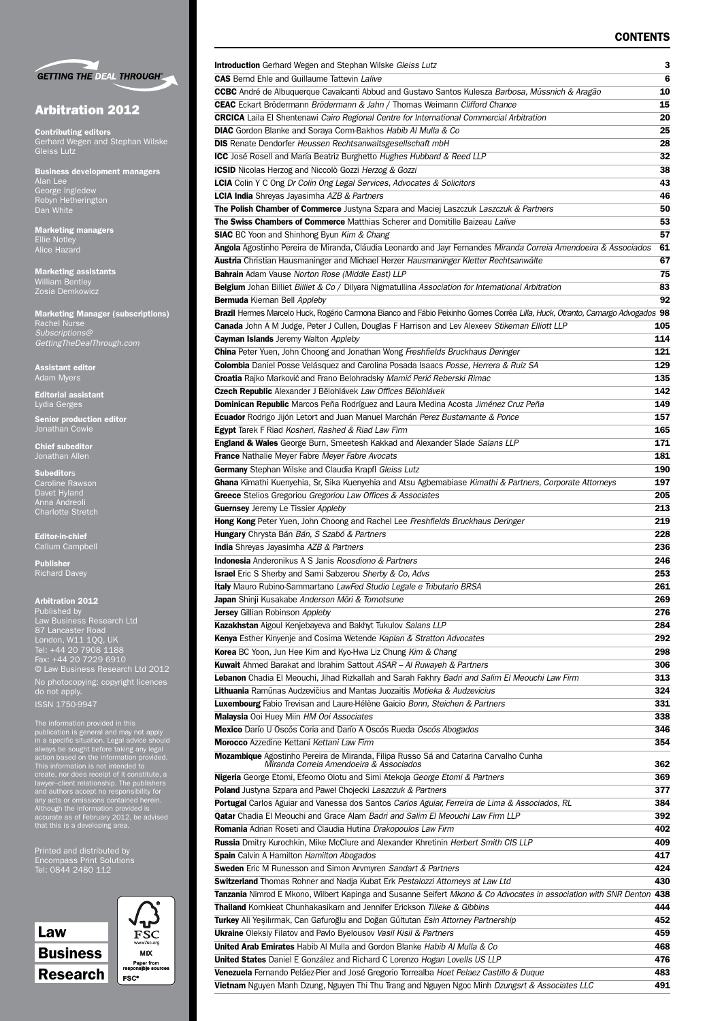#### **CONTENTS**



#### Arbitration 2012

Contributing editors Gerhard Wegen and Stephan Wilske

Business development managers Alan Lee George Ingledew Robyn Hetherington Dan White

Marketing managers Ellie Notley Alice Hazard

Marketing assistants William Bentley Zosia Demkowicz

Marketing Manager (subscriptions) Rachel Nurse *Subscriptions@ GettingTheDealThrough.com*

Assistant editor Adam Myers

Editorial assistant Lydia Gerges

Senior production editor Jonathan Cowie

Chief subeditor Jonathan Allen

**Subeditors** Caroline Rawson Davet Hyland Anna Andreoli Charlotte Stretch

Editor-in-chief Callum Campbell

Publisher Richard Davey

#### Arbitration 2012

Published by Law Business Research Ltd London, W11 1QQ, UK Tel: +44 20 7908 1188 Fax: +44 20 7229 6910 © Law Business Research Ltd 2012 No photocopying: copyright licences do not apply.

The information provided in this<br>publication is general and may not apply<br>in a specific situation. Legal advice should<br>always be sought before taking any legal<br>action based on the information provided.<br>This information is

Printed and distributed by Tel: 0844 2480 112



| FS<br>www.fsc.org                 |
|-----------------------------------|
| MIX                               |
| Paper from<br>responsible sources |
| <b>FSC*</b>                       |
|                                   |

| <b>Introduction</b> Gerhard Wegen and Stephan Wilske Gleiss Lutz                                                                                                            | з          |
|-----------------------------------------------------------------------------------------------------------------------------------------------------------------------------|------------|
| <b>CAS</b> Bernd Ehle and Guillaume Tattevin Lalive                                                                                                                         | 6          |
| <b>CCBC</b> André de Albuquerque Cavalcanti Abbud and Gustavo Santos Kulesza Barbosa, Müssnich & Aragão                                                                     | 10         |
| <b>CEAC</b> Eckart Brödermann Brödermann & Jahn / Thomas Weimann Clifford Chance                                                                                            | 15         |
| <b>CRCICA</b> Laila El Shentenawi Cairo Regional Centre for International Commercial Arbitration                                                                            | 20         |
| <b>DIAC</b> Gordon Blanke and Soraya Corm-Bakhos Habib Al Mulla & Co                                                                                                        | 25         |
| <b>DIS</b> Renate Dendorfer Heussen Rechtsanwaltsgesellschaft mbH                                                                                                           | 28         |
| ICC José Rosell and María Beatriz Burghetto Hughes Hubbard & Reed LLP                                                                                                       | 32<br>38   |
| <b>ICSID</b> Nicolas Herzog and Niccolò Gozzi Herzog & Gozzi<br><b>LCIA</b> Colin Y C Ong Dr Colin Ong Legal Services, Advocates & Solicitors                               | 43         |
| <b>LCIA India</b> Shreyas Jayasimha AZB & Partners                                                                                                                          | 46         |
| The Polish Chamber of Commerce Justyna Szpara and Maciej Laszczuk Laszczuk & Partners                                                                                       | 50         |
| The Swiss Chambers of Commerce Matthias Scherer and Domitille Baizeau Lalive                                                                                                | 53         |
| <b>SIAC</b> BC Yoon and Shinhong Byun Kim & Chang                                                                                                                           | 57         |
| Angola Agostinho Pereira de Miranda, Cláudia Leonardo and Jayr Fernandes Miranda Correia Amendoeira & Associados                                                            | 61         |
| Austria Christian Hausmaninger and Michael Herzer Hausmaninger Kletter Rechtsanwälte                                                                                        | 67         |
| Bahrain Adam Vause Norton Rose (Middle East) LLP                                                                                                                            | 75         |
| <b>Belgium</b> Johan Billiet Billiet & Co / Dilyara Nigmatullina Association for International Arbitration                                                                  | 83         |
| <b>Bermuda</b> Kiernan Bell Appleby                                                                                                                                         | 92         |
| Brazil Hermes Marcelo Huck, Rogério Carmona Bianco and Fábio Peixinho Gomes Corrêa Lilla, Huck, Otranto, Camargo Advogados 98                                               |            |
| Canada John A M Judge, Peter J Cullen, Douglas F Harrison and Lev Alexeev Stikeman Elliott LLP                                                                              | 105        |
| <b>Cayman Islands</b> Jeremy Walton Appleby                                                                                                                                 | 114        |
| <b>China</b> Peter Yuen, John Choong and Jonathan Wong Freshfields Bruckhaus Deringer                                                                                       | 121        |
| Colombia Daniel Posse Velásquez and Carolina Posada Isaacs Posse, Herrera & Ruiz SA                                                                                         | 129        |
| Croatia Rajko Marković and Frano Belohradsky Mamić Perić Reberski Rimac                                                                                                     | 135        |
| Czech Republic Alexander J Bělohlávek Law Offices Bělohlávek                                                                                                                | 142        |
| Dominican Republic Marcos Peña Rodríguez and Laura Medina Acosta Jiménez Cruz Peña                                                                                          | 149        |
| <b>Ecuador</b> Rodrigo Jijón Letort and Juan Manuel Marchán Perez Bustamante & Ponce                                                                                        | 157        |
| <b>Egypt</b> Tarek F Riad Kosheri, Rashed & Riad Law Firm<br><b>England &amp; Wales</b> George Burn, Smeetesh Kakkad and Alexander Slade Salans LLP                         | 165<br>171 |
| France Nathalie Meyer Fabre Meyer Fabre Avocats                                                                                                                             | 181        |
| Germany Stephan Wilske and Claudia Krapfl Gleiss Lutz                                                                                                                       | 190        |
| Ghana Kimathi Kuenyehia, Sr, Sika Kuenyehia and Atsu Agbemabiase Kimathi & Partners, Corporate Attorneys                                                                    | 197        |
| Greece Stelios Gregoriou Gregoriou Law Offices & Associates                                                                                                                 | 205        |
| <b>Guernsey</b> Jeremy Le Tissier Appleby                                                                                                                                   | 213        |
| <b>Hong Kong</b> Peter Yuen, John Choong and Rachel Lee Freshfields Bruckhaus Deringer                                                                                      | 219        |
| Hungary Chrysta Bán Bán, S Szabó & Partners                                                                                                                                 | 228        |
| <b>India</b> Shreyas Jayasimha AZB & Partners                                                                                                                               | 236        |
| <b>Indonesia</b> Anderonikus A S Janis Roosdiono & Partners                                                                                                                 | 246        |
| <b>Israel</b> Eric S Sherby and Sami Sabzerou Sherby & Co, Advs                                                                                                             | 253        |
| Italy Mauro Rubino-Sammartano LawFed Studio Legale e Tributario BRSA                                                                                                        | 261        |
| <b>Japan</b> Shinji Kusakabe Anderson Mōri & Tomotsune                                                                                                                      | 269        |
| <b>Jersey</b> Gillian Robinson Appleby                                                                                                                                      | 276        |
| <b>Kazakhstan</b> Aigoul Kenjebayeva and Bakhyt Tukulov Salans LLP                                                                                                          | 284        |
| Kenya Esther Kinyenje and Cosima Wetende Kaplan & Stratton Advocates                                                                                                        | 292        |
| Korea BC Yoon, Jun Hee Kim and Kyo-Hwa Liz Chung Kim & Chang                                                                                                                | 298        |
| <b>Kuwait</b> Ahmed Barakat and Ibrahim Sattout ASAR - Al Ruwayeh & Partners                                                                                                | 306        |
| Lebanon Chadia El Meouchi, Jihad Rizkallah and Sarah Fakhry Badri and Salim El Meouchi Law Firm<br>Lithuania Ramūnas Audzevičius and Mantas Juozaitis Motieka & Audzevicius | 313<br>324 |
| Luxembourg Fabio Trevisan and Laure-Hélène Gaicio Bonn, Steichen & Partners                                                                                                 | 331        |
| <b>Malaysia</b> Ooi Huey Miin HM Ooi Associates                                                                                                                             | 338        |
| Mexico Darío U Oscós Coria and Darío A Oscós Rueda Oscós Abogados                                                                                                           | 346        |
| Morocco Azzedine Kettani Kettani Law Firm                                                                                                                                   | 354        |
| Mozambique Agostinho Pereira de Miranda, Filipa Russo Sá and Catarina Carvalho Cunha                                                                                        |            |
| Miranda Correia Amendoeira & Associados                                                                                                                                     | 362        |
| Nigeria George Etomi, Efeomo Olotu and Simi Atekoja George Etomi & Partners                                                                                                 | 369        |
| <b>Poland</b> Justyna Szpara and Paweł Chojecki Laszczuk & Partners                                                                                                         | 377        |
| <b>Portugal</b> Carlos Aguiar and Vanessa dos Santos Carlos Aguiar, Ferreira de Lima & Associados, RL                                                                       | 384        |
| <b>Qatar</b> Chadia El Meouchi and Grace Alam Badri and Salim El Meouchi Law Firm LLP<br>Romania Adrian Roseti and Claudia Hutina Drakopoulos Law Firm                      | 392<br>402 |
| <b>Russia</b> Dmitry Kurochkin, Mike McClure and Alexander Khretinin Herbert Smith CIS LLP                                                                                  | 409        |
| <b>Spain</b> Calvin A Hamilton Hamilton Abogados                                                                                                                            | 417        |
| <b>Sweden</b> Eric M Runesson and Simon Arvmyren Sandart & Partners                                                                                                         | 424        |
| Switzerland Thomas Rohner and Nadja Kubat Erk Pestalozzi Attorneys at Law Ltd                                                                                               | 430        |
| <b>Tanzania</b> Nimrod E Mkono, Wilbert Kapinga and Susanne Seifert Mkono & Co Advocates in association with SNR Denton 438                                                 |            |
| Thailand Kornkieat Chunhakasikarn and Jennifer Erickson Tilleke & Gibbins                                                                                                   | 444        |
| Turkey Ali Yeşilırmak, Can Gafuroğlu and Doğan Gültutan Esin Attorney Partnership                                                                                           | 452        |
| <b>Ukraine</b> Oleksiy Filatov and Pavlo Byelousov Vasil Kisil & Partners                                                                                                   | 459        |
| <b>United Arab Emirates</b> Habib Al Mulla and Gordon Blanke Habib Al Mulla & Co                                                                                            | 468        |
| <b>United States</b> Daniel E González and Richard C Lorenzo Hogan Lovells US LLP                                                                                           | 476        |

Venezuela Fernando Peláez-Pier and José Gregorio Torrealba *Hoet Pelaez Castillo & Duque* 483 Vietnam Nguyen Manh Dzung, Nguyen Thi Thu Trang and Nguyen Ngoc Minh *Dzungsrt & Associates LLC* 491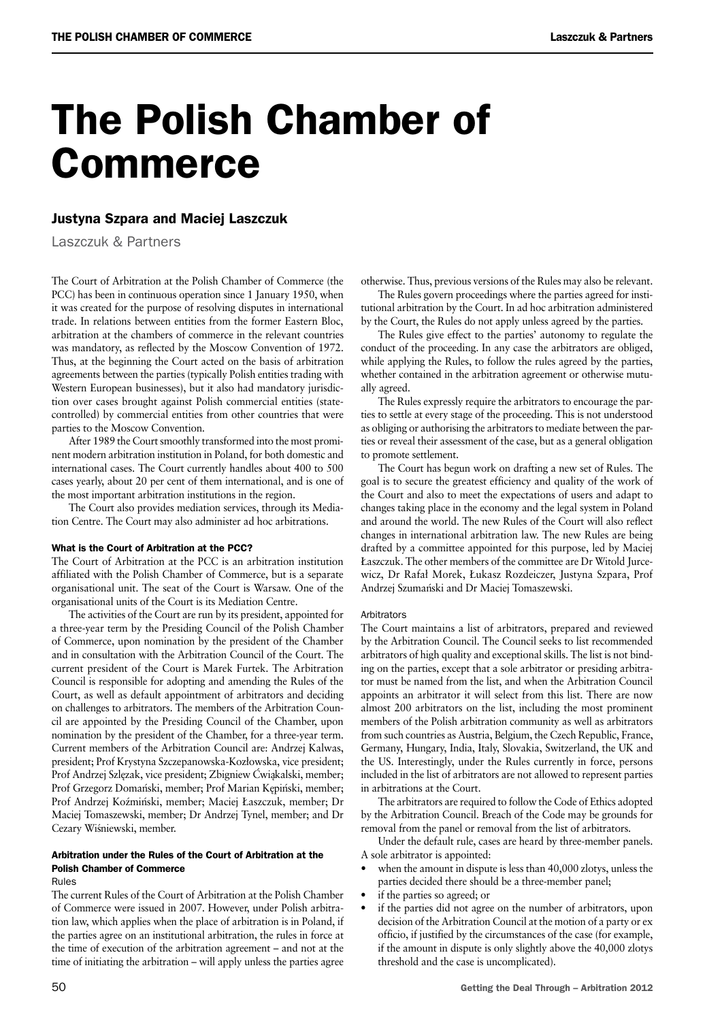# The Polish Chamber of Commerce

### Justyna Szpara and Maciej Laszczuk

Laszczuk & Partners

The Court of Arbitration at the Polish Chamber of Commerce (the PCC) has been in continuous operation since 1 January 1950, when it was created for the purpose of resolving disputes in international trade. In relations between entities from the former Eastern Bloc, arbitration at the chambers of commerce in the relevant countries was mandatory, as reflected by the Moscow Convention of 1972. Thus, at the beginning the Court acted on the basis of arbitration agreements between the parties (typically Polish entities trading with Western European businesses), but it also had mandatory jurisdiction over cases brought against Polish commercial entities (statecontrolled) by commercial entities from other countries that were parties to the Moscow Convention.

After 1989 the Court smoothly transformed into the most prominent modern arbitration institution in Poland, for both domestic and international cases. The Court currently handles about 400 to 500 cases yearly, about 20 per cent of them international, and is one of the most important arbitration institutions in the region.

The Court also provides mediation services, through its Mediation Centre. The Court may also administer ad hoc arbitrations.

#### What is the Court of Arbitration at the PCC?

The Court of Arbitration at the PCC is an arbitration institution affiliated with the Polish Chamber of Commerce, but is a separate organisational unit. The seat of the Court is Warsaw. One of the organisational units of the Court is its Mediation Centre.

The activities of the Court are run by its president, appointed for a three-year term by the Presiding Council of the Polish Chamber of Commerce, upon nomination by the president of the Chamber and in consultation with the Arbitration Council of the Court. The current president of the Court is Marek Furtek. The Arbitration Council is responsible for adopting and amending the Rules of the Court, as well as default appointment of arbitrators and deciding on challenges to arbitrators. The members of the Arbitration Council are appointed by the Presiding Council of the Chamber, upon nomination by the president of the Chamber, for a three-year term. Current members of the Arbitration Council are: Andrzej Kalwas, president; Prof Krystyna Szczepanowska-Kozłowska, vice president; Prof Andrzej Szlęzak, vice president; Zbigniew Ćwiąkalski, member; Prof Grzegorz Domański, member; Prof Marian Kępiński, member; Prof Andrzej Koźmiński, member; Maciej Łaszczuk, member; Dr Maciej Tomaszewski, member; Dr Andrzej Tynel, member; and Dr Cezary Wiśniewski, member.

### Arbitration under the Rules of the Court of Arbitration at the Polish Chamber of Commerce

#### Rules

The current Rules of the Court of Arbitration at the Polish Chamber of Commerce were issued in 2007. However, under Polish arbitration law, which applies when the place of arbitration is in Poland, if the parties agree on an institutional arbitration, the rules in force at the time of execution of the arbitration agreement – and not at the time of initiating the arbitration – will apply unless the parties agree

otherwise. Thus, previous versions of the Rules may also be relevant.

The Rules govern proceedings where the parties agreed for institutional arbitration by the Court. In ad hoc arbitration administered by the Court, the Rules do not apply unless agreed by the parties.

The Rules give effect to the parties' autonomy to regulate the conduct of the proceeding. In any case the arbitrators are obliged, while applying the Rules, to follow the rules agreed by the parties, whether contained in the arbitration agreement or otherwise mutually agreed.

The Rules expressly require the arbitrators to encourage the parties to settle at every stage of the proceeding. This is not understood as obliging or authorising the arbitrators to mediate between the parties or reveal their assessment of the case, but as a general obligation to promote settlement.

The Court has begun work on drafting a new set of Rules. The goal is to secure the greatest efficiency and quality of the work of the Court and also to meet the expectations of users and adapt to changes taking place in the economy and the legal system in Poland and around the world. The new Rules of the Court will also reflect changes in international arbitration law. The new Rules are being drafted by a committee appointed for this purpose, led by Maciej Łaszczuk. The other members of the committee are Dr Witold Jurcewicz, Dr Rafał Morek, Łukasz Rozdeiczer, Justyna Szpara, Prof Andrzej Szumański and Dr Maciej Tomaszewski.

#### **Arhitrators**

The Court maintains a list of arbitrators, prepared and reviewed by the Arbitration Council. The Council seeks to list recommended arbitrators of high quality and exceptional skills. The list is not binding on the parties, except that a sole arbitrator or presiding arbitrator must be named from the list, and when the Arbitration Council appoints an arbitrator it will select from this list. There are now almost 200 arbitrators on the list, including the most prominent members of the Polish arbitration community as well as arbitrators from such countries as Austria, Belgium, the Czech Republic, France, Germany, Hungary, India, Italy, Slovakia, Switzerland, the UK and the US. Interestingly, under the Rules currently in force, persons included in the list of arbitrators are not allowed to represent parties in arbitrations at the Court.

The arbitrators are required to follow the Code of Ethics adopted by the Arbitration Council. Breach of the Code may be grounds for removal from the panel or removal from the list of arbitrators.

Under the default rule, cases are heard by three-member panels. A sole arbitrator is appointed:

- when the amount in dispute is less than 40,000 zlotys, unless the parties decided there should be a three-member panel;
- if the parties so agreed; or
- if the parties did not agree on the number of arbitrators, upon decision of the Arbitration Council at the motion of a party or ex officio, if justified by the circumstances of the case (for example, if the amount in dispute is only slightly above the 40,000 zlotys threshold and the case is uncomplicated).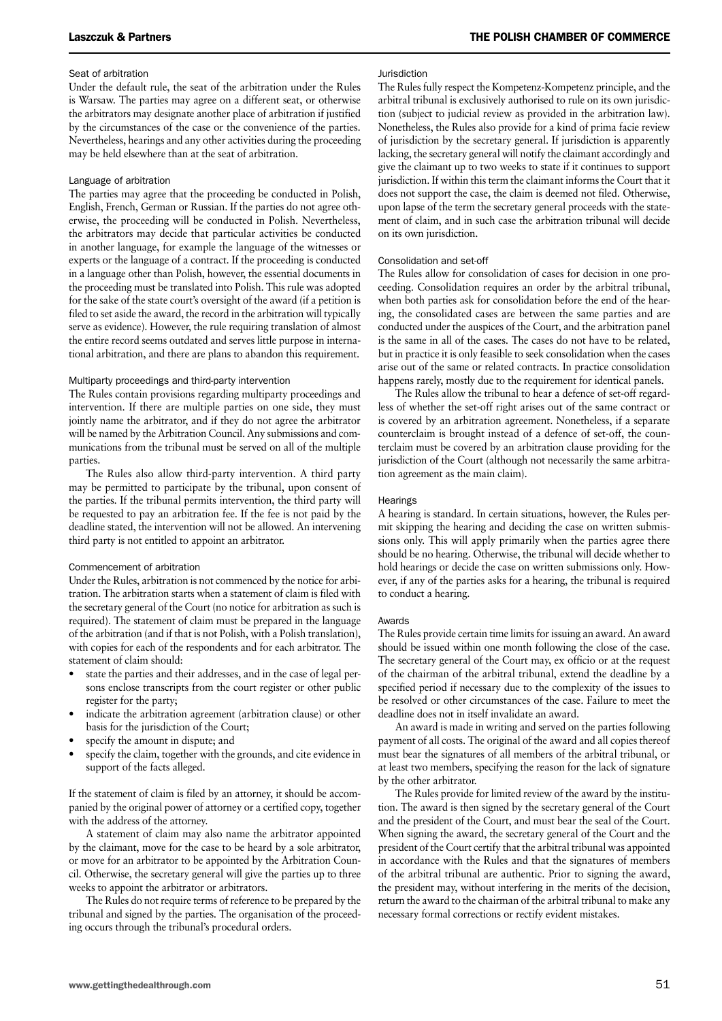#### Seat of arbitration

Under the default rule, the seat of the arbitration under the Rules is Warsaw. The parties may agree on a different seat, or otherwise the arbitrators may designate another place of arbitration if justified by the circumstances of the case or the convenience of the parties. Nevertheless, hearings and any other activities during the proceeding may be held elsewhere than at the seat of arbitration.

#### Language of arbitration

The parties may agree that the proceeding be conducted in Polish, English, French, German or Russian. If the parties do not agree otherwise, the proceeding will be conducted in Polish. Nevertheless, the arbitrators may decide that particular activities be conducted in another language, for example the language of the witnesses or experts or the language of a contract. If the proceeding is conducted in a language other than Polish, however, the essential documents in the proceeding must be translated into Polish. This rule was adopted for the sake of the state court's oversight of the award (if a petition is filed to set aside the award, the record in the arbitration will typically serve as evidence). However, the rule requiring translation of almost the entire record seems outdated and serves little purpose in international arbitration, and there are plans to abandon this requirement.

#### Multiparty proceedings and third-party intervention

The Rules contain provisions regarding multiparty proceedings and intervention. If there are multiple parties on one side, they must jointly name the arbitrator, and if they do not agree the arbitrator will be named by the Arbitration Council. Any submissions and communications from the tribunal must be served on all of the multiple parties.

The Rules also allow third-party intervention. A third party may be permitted to participate by the tribunal, upon consent of the parties. If the tribunal permits intervention, the third party will be requested to pay an arbitration fee. If the fee is not paid by the deadline stated, the intervention will not be allowed. An intervening third party is not entitled to appoint an arbitrator.

#### Commencement of arbitration

Under the Rules, arbitration is not commenced by the notice for arbitration. The arbitration starts when a statement of claim is filed with the secretary general of the Court (no notice for arbitration as such is required). The statement of claim must be prepared in the language of the arbitration (and if that is not Polish, with a Polish translation), with copies for each of the respondents and for each arbitrator. The statement of claim should:

- state the parties and their addresses, and in the case of legal persons enclose transcripts from the court register or other public register for the party;
- indicate the arbitration agreement (arbitration clause) or other basis for the jurisdiction of the Court;
- specify the amount in dispute; and
- specify the claim, together with the grounds, and cite evidence in support of the facts alleged.

If the statement of claim is filed by an attorney, it should be accompanied by the original power of attorney or a certified copy, together with the address of the attorney.

A statement of claim may also name the arbitrator appointed by the claimant, move for the case to be heard by a sole arbitrator, or move for an arbitrator to be appointed by the Arbitration Council. Otherwise, the secretary general will give the parties up to three weeks to appoint the arbitrator or arbitrators.

The Rules do not require terms of reference to be prepared by the tribunal and signed by the parties. The organisation of the proceeding occurs through the tribunal's procedural orders.

#### Jurisdiction

The Rules fully respect the Kompetenz-Kompetenz principle, and the arbitral tribunal is exclusively authorised to rule on its own jurisdiction (subject to judicial review as provided in the arbitration law). Nonetheless, the Rules also provide for a kind of prima facie review of jurisdiction by the secretary general. If jurisdiction is apparently lacking, the secretary general will notify the claimant accordingly and give the claimant up to two weeks to state if it continues to support jurisdiction. If within this term the claimant informs the Court that it does not support the case, the claim is deemed not filed. Otherwise, upon lapse of the term the secretary general proceeds with the statement of claim, and in such case the arbitration tribunal will decide on its own jurisdiction.

#### Consolidation and set-off

The Rules allow for consolidation of cases for decision in one proceeding. Consolidation requires an order by the arbitral tribunal, when both parties ask for consolidation before the end of the hearing, the consolidated cases are between the same parties and are conducted under the auspices of the Court, and the arbitration panel is the same in all of the cases. The cases do not have to be related, but in practice it is only feasible to seek consolidation when the cases arise out of the same or related contracts. In practice consolidation happens rarely, mostly due to the requirement for identical panels.

The Rules allow the tribunal to hear a defence of set-off regardless of whether the set-off right arises out of the same contract or is covered by an arbitration agreement. Nonetheless, if a separate counterclaim is brought instead of a defence of set-off, the counterclaim must be covered by an arbitration clause providing for the jurisdiction of the Court (although not necessarily the same arbitration agreement as the main claim).

#### **Hearings**

A hearing is standard. In certain situations, however, the Rules permit skipping the hearing and deciding the case on written submissions only. This will apply primarily when the parties agree there should be no hearing. Otherwise, the tribunal will decide whether to hold hearings or decide the case on written submissions only. However, if any of the parties asks for a hearing, the tribunal is required to conduct a hearing.

#### Awards

The Rules provide certain time limits for issuing an award. An award should be issued within one month following the close of the case. The secretary general of the Court may, ex officio or at the request of the chairman of the arbitral tribunal, extend the deadline by a specified period if necessary due to the complexity of the issues to be resolved or other circumstances of the case. Failure to meet the deadline does not in itself invalidate an award.

An award is made in writing and served on the parties following payment of all costs. The original of the award and all copies thereof must bear the signatures of all members of the arbitral tribunal, or at least two members, specifying the reason for the lack of signature by the other arbitrator.

The Rules provide for limited review of the award by the institution. The award is then signed by the secretary general of the Court and the president of the Court, and must bear the seal of the Court. When signing the award, the secretary general of the Court and the president of the Court certify that the arbitral tribunal was appointed in accordance with the Rules and that the signatures of members of the arbitral tribunal are authentic. Prior to signing the award, the president may, without interfering in the merits of the decision, return the award to the chairman of the arbitral tribunal to make any necessary formal corrections or rectify evident mistakes.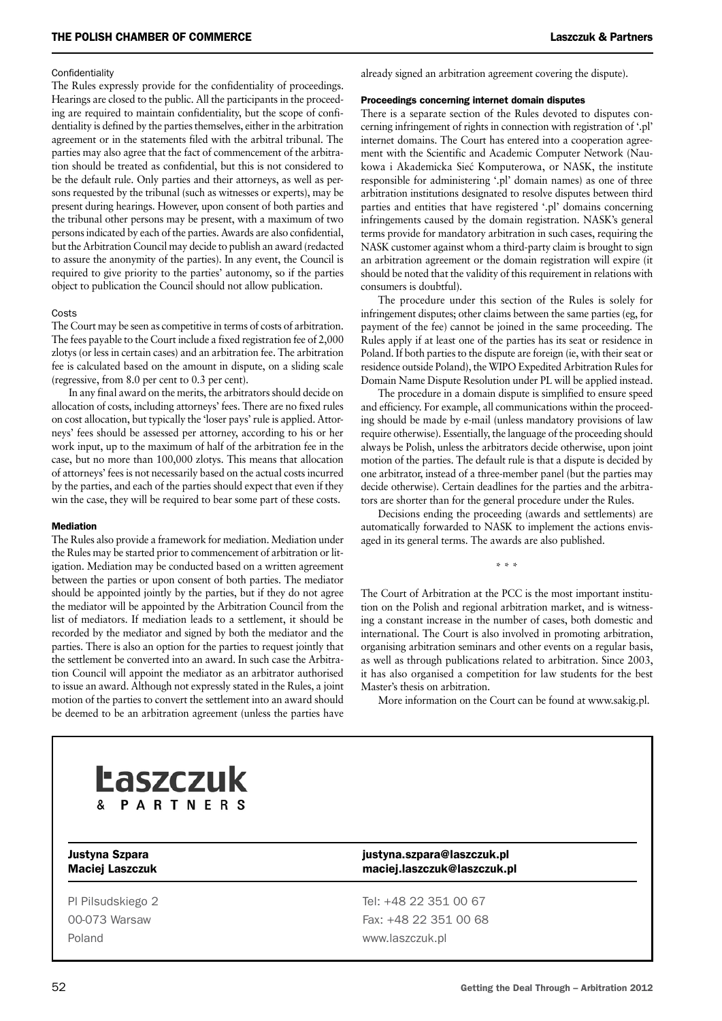#### **Confidentiality**

The Rules expressly provide for the confidentiality of proceedings. Hearings are closed to the public. All the participants in the proceeding are required to maintain confidentiality, but the scope of confidentiality is defined by the parties themselves, either in the arbitration agreement or in the statements filed with the arbitral tribunal. The parties may also agree that the fact of commencement of the arbitration should be treated as confidential, but this is not considered to be the default rule. Only parties and their attorneys, as well as persons requested by the tribunal (such as witnesses or experts), may be present during hearings. However, upon consent of both parties and the tribunal other persons may be present, with a maximum of two persons indicated by each of the parties. Awards are also confidential, but the Arbitration Council may decide to publish an award (redacted to assure the anonymity of the parties). In any event, the Council is required to give priority to the parties' autonomy, so if the parties object to publication the Council should not allow publication.

#### Costs

The Court may be seen as competitive in terms of costs of arbitration. The fees payable to the Court include a fixed registration fee of 2,000 zlotys (or less in certain cases) and an arbitration fee. The arbitration fee is calculated based on the amount in dispute, on a sliding scale (regressive, from 8.0 per cent to 0.3 per cent).

In any final award on the merits, the arbitrators should decide on allocation of costs, including attorneys' fees. There are no fixed rules on cost allocation, but typically the 'loser pays' rule is applied. Attorneys' fees should be assessed per attorney, according to his or her work input, up to the maximum of half of the arbitration fee in the case, but no more than 100,000 zlotys. This means that allocation of attorneys' fees is not necessarily based on the actual costs incurred by the parties, and each of the parties should expect that even if they win the case, they will be required to bear some part of these costs.

#### **Mediation**

The Rules also provide a framework for mediation. Mediation under the Rules may be started prior to commencement of arbitration or litigation. Mediation may be conducted based on a written agreement between the parties or upon consent of both parties. The mediator should be appointed jointly by the parties, but if they do not agree the mediator will be appointed by the Arbitration Council from the list of mediators. If mediation leads to a settlement, it should be recorded by the mediator and signed by both the mediator and the parties. There is also an option for the parties to request jointly that the settlement be converted into an award. In such case the Arbitration Council will appoint the mediator as an arbitrator authorised to issue an award. Although not expressly stated in the Rules, a joint motion of the parties to convert the settlement into an award should be deemed to be an arbitration agreement (unless the parties have

already signed an arbitration agreement covering the dispute).

#### Proceedings concerning internet domain disputes

There is a separate section of the Rules devoted to disputes concerning infringement of rights in connection with registration of '.pl' internet domains. The Court has entered into a cooperation agreement with the Scientific and Academic Computer Network (Naukowa i Akademicka Siec´ Komputerowa, or NASK, the institute responsible for administering '.pl' domain names) as one of three arbitration institutions designated to resolve disputes between third parties and entities that have registered '.pl' domains concerning infringements caused by the domain registration. NASK's general terms provide for mandatory arbitration in such cases, requiring the NASK customer against whom a third-party claim is brought to sign an arbitration agreement or the domain registration will expire (it should be noted that the validity of this requirement in relations with consumers is doubtful).

The procedure under this section of the Rules is solely for infringement disputes; other claims between the same parties (eg, for payment of the fee) cannot be joined in the same proceeding. The Rules apply if at least one of the parties has its seat or residence in Poland. If both parties to the dispute are foreign (ie, with their seat or residence outside Poland), the WIPO Expedited Arbitration Rules for Domain Name Dispute Resolution under PL will be applied instead.

The procedure in a domain dispute is simplified to ensure speed and efficiency. For example, all communications within the proceeding should be made by e-mail (unless mandatory provisions of law require otherwise). Essentially, the language of the proceeding should always be Polish, unless the arbitrators decide otherwise, upon joint motion of the parties. The default rule is that a dispute is decided by one arbitrator, instead of a three-member panel (but the parties may decide otherwise). Certain deadlines for the parties and the arbitrators are shorter than for the general procedure under the Rules.

Decisions ending the proceeding (awards and settlements) are automatically forwarded to NASK to implement the actions envisaged in its general terms. The awards are also published.

\* \* \*

The Court of Arbitration at the PCC is the most important institution on the Polish and regional arbitration market, and is witnessing a constant increase in the number of cases, both domestic and international. The Court is also involved in promoting arbitration, organising arbitration seminars and other events on a regular basis, as well as through publications related to arbitration. Since 2003, it has also organised a competition for law students for the best Master's thesis on arbitration.

More information on the Court can be found at www.sakig.pl.



Poland www.laszczuk.pl

Justyna Szpara justyna.szpara@laszczuk.pl Maciej Laszczuk maciej.laszczuk@laszczuk.pl

Pl Pilsudskiego 2 Tel: +48 22 351 00 67 00-073 Warsaw Fax: +48 22 351 00 68